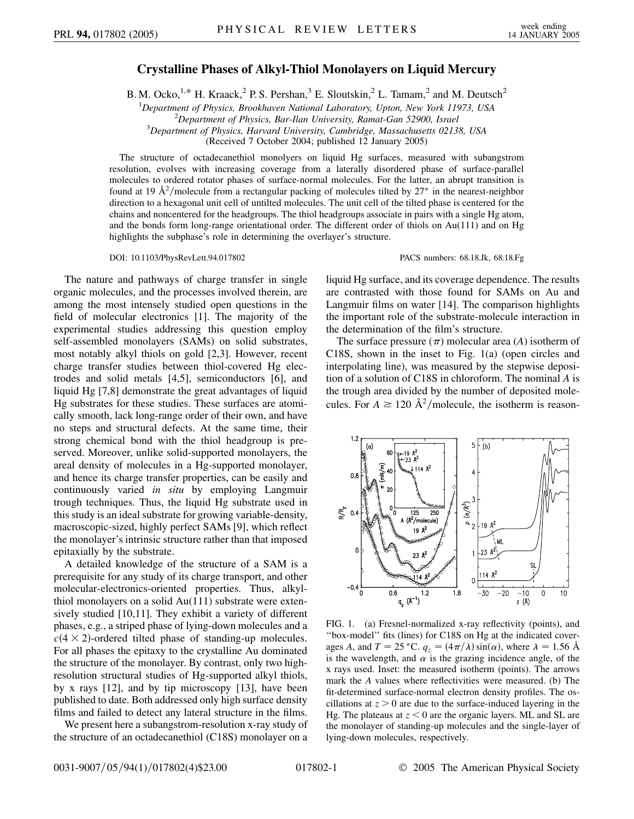## **Crystalline Phases of Alkyl-Thiol Monolayers on Liquid Mercury**

B. M. Ocko,<sup>1,\*</sup> H. Kraack,<sup>2</sup> P. S. Pershan,<sup>3</sup> E. Sloutskin,<sup>2</sup> L. Tamam,<sup>2</sup> and M. Deutsch<sup>2</sup>

<sup>1</sup>Department of Physics, Brookhaven National Laboratory, Upton, New York 11973, USA<br><sup>2</sup>Department of Physics, Bar Ilan University, Bamat Gan 52000, Israel

<sup>2</sup>Department of Physics, Bar-Ilan University, Ramat-Gan 52900, Israel

*Department of Physics, Harvard University, Cambridge, Massachusetts 02138, USA*

(Received 7 October 2004; published 12 January 2005)

The structure of octadecanethiol monolyers on liquid Hg surfaces, measured with subangstrom resolution, evolves with increasing coverage from a laterally disordered phase of surface-parallel molecules to ordered rotator phases of surface-normal molecules. For the latter, an abrupt transition is found at 19  $A^2$ /molecule from a rectangular packing of molecules tilted by 27° in the nearest-neighbor direction to a hexagonal unit cell of untilted molecules. The unit cell of the tilted phase is centered for the chains and noncentered for the headgroups. The thiol headgroups associate in pairs with a single Hg atom, and the bonds form long-range orientational order. The different order of thiols on Au(111) and on Hg highlights the subphase's role in determining the overlayer's structure.

DOI: 10.1103/PhysRevLett.94.017802 PACS numbers: 68.18.Jk, 68.18.Fg

The nature and pathways of charge transfer in single organic molecules, and the processes involved therein, are among the most intensely studied open questions in the field of molecular electronics [1]. The majority of the experimental studies addressing this question employ self-assembled monolayers (SAMs) on solid substrates, most notably alkyl thiols on gold [2,3]. However, recent charge transfer studies between thiol-covered Hg electrodes and solid metals [4,5], semiconductors [6], and liquid Hg [7,8] demonstrate the great advantages of liquid Hg substrates for these studies. These surfaces are atomically smooth, lack long-range order of their own, and have no steps and structural defects. At the same time, their strong chemical bond with the thiol headgroup is preserved. Moreover, unlike solid-supported monolayers, the areal density of molecules in a Hg-supported monolayer, and hence its charge transfer properties, can be easily and continuously varied *in situ* by employing Langmuir trough techniques. Thus, the liquid Hg substrate used in this study is an ideal substrate for growing variable-density, macroscopic-sized, highly perfect SAMs [9], which reflect the monolayer's intrinsic structure rather than that imposed epitaxially by the substrate.

A detailed knowledge of the structure of a SAM is a prerequisite for any study of its charge transport, and other molecular-electronics-oriented properties. Thus, alkylthiol monolayers on a solid Au(111) substrate were extensively studied [10,11]. They exhibit a variety of different phases, e.g., a striped phase of lying-down molecules and a  $c$ (4  $\times$  2)-ordered tilted phase of standing-up molecules. For all phases the epitaxy to the crystalline Au dominated the structure of the monolayer. By contrast, only two highresolution structural studies of Hg-supported alkyl thiols, by x rays [12], and by tip microscopy [13], have been published to date. Both addressed only high surface density films and failed to detect any lateral structure in the films.

We present here a subangstrom-resolution x-ray study of the structure of an octadecanethiol (C18S) monolayer on a

liquid Hg surface, and its coverage dependence. The results are contrasted with those found for SAMs on Au and Langmuir films on water [14]. The comparison highlights the important role of the substrate-molecule interaction in the determination of the film's structure.

The surface pressure  $(\pi)$  molecular area (*A*) isotherm of C18S, shown in the inset to Fig. 1(a) (open circles and interpolating line), was measured by the stepwise deposition of a solution of C18S in chloroform. The nominal *A* is the trough area divided by the number of deposited molecules. For  $A \ge 120 \text{ Å}^2/\text{molecule}$ , the isotherm is reason-



FIG. 1. (a) Fresnel-normalized x-ray reflectivity (points), and ''box-model'' fits (lines) for C18S on Hg at the indicated coverages *A*, and  $T = 25 \degree \text{C}$ .  $q_z = (4\pi/\lambda) \sin(\alpha)$ , where  $\lambda = 1.56 \text{ Å}$ is the wavelength, and  $\alpha$  is the grazing incidence angle, of the x rays used. Inset: the measured isotherm (points). The arrows mark the *A* values where reflectivities were measured. (b) The fit-determined surface-normal electron density profiles. The oscillations at  $z > 0$  are due to the surface-induced layering in the Hg. The plateaus at *z <* 0 are the organic layers. ML and SL are the monolayer of standing-up molecules and the single-layer of lying-down molecules, respectively.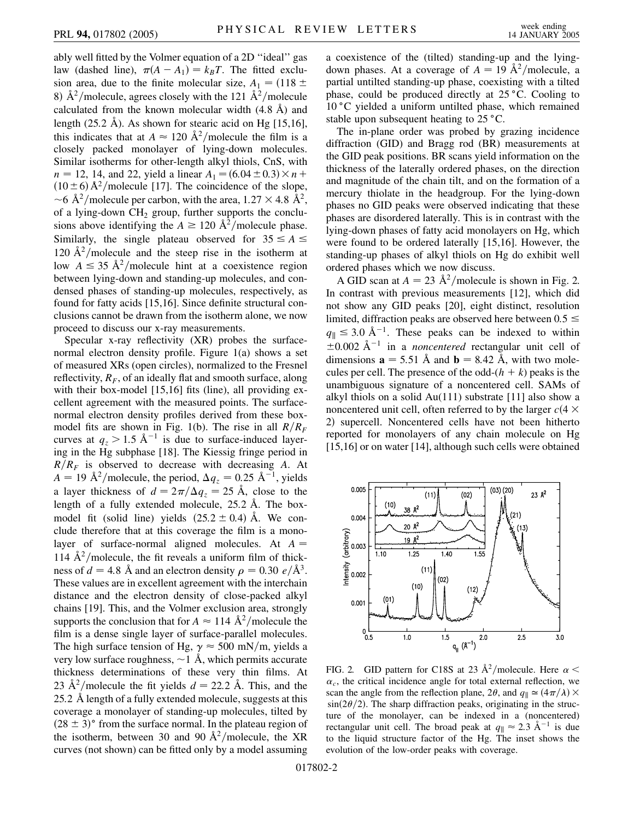ably well fitted by the Volmer equation of a 2D ''ideal'' gas law (dashed line),  $\pi(A - A_1) = k_B T$ . The fitted exclusion area, due to the finite molecular size,  $A_1 = (118 \pm 11)$ 8)  $\hat{A}^2$ /molecule, agrees closely with the 121  $\hat{A}^2$ /molecule calculated from the known molecular width  $(4.8 \text{ Å})$  and length  $(25.2 \text{ Å})$ . As shown for stearic acid on Hg  $[15,16]$ , this indicates that at  $A \approx 120 \text{ Å}^2/\text{molecule}$  the film is a closely packed monolayer of lying-down molecules. Similar isotherms for other-length alkyl thiols, CnS, with  $n = 12, 14,$  and 22, yield a linear  $A_1 = (6.04 \pm 0.3) \times n +$  $(10 \pm 6)$  Å<sup>2</sup>/molecule [17]. The coincidence of the slope,  $\sim$  6 Å<sup>2</sup>/molecule per carbon, with the area, 1.27  $\times$  4.8 Å<sup>2</sup>, of a lying-down  $CH<sub>2</sub>$  group, further supports the conclusions above identifying the  $A \ge 120 \text{ Å}^2/\text{molecule phase.}$ Similarly, the single plateau observed for  $35 \le A \le$ 120  $\rm \AA^2/m$  olecule and the steep rise in the isotherm at low  $A \leq 35 \text{ Å}^2/\text{molecule}$  hint at a coexistence region between lying-down and standing-up molecules, and condensed phases of standing-up molecules, respectively, as found for fatty acids [15,16]. Since definite structural conclusions cannot be drawn from the isotherm alone, we now proceed to discuss our x-ray measurements.

Specular x-ray reflectivity (XR) probes the surfacenormal electron density profile. Figure 1(a) shows a set of measured XRs (open circles), normalized to the Fresnel reflectivity,  $R_F$ , of an ideally flat and smooth surface, along with their box-model [15,16] fits (line), all providing excellent agreement with the measured points. The surfacenormal electron density profiles derived from these boxmodel fits are shown in Fig. 1(b). The rise in all  $R/R_F$ curves at  $q_z > 1.5 \text{ Å}^{-1}$  is due to surface-induced layering in the Hg subphase [18]. The Kiessig fringe period in  $R/R_F$  is observed to decrease with decreasing *A*. At  $A = 19 \text{ Å}^2/\text{molecule, the period, } \Delta q_z = 0.25 \text{ Å}^{-1}$ , yields a layer thickness of  $d = 2\pi/\Delta q_z = 25$  Å, close to the length of a fully extended molecule, 25.2 Å. The boxmodel fit (solid line) yields  $(25.2 \pm 0.4)$  Å. We conclude therefore that at this coverage the film is a monolayer of surface-normal aligned molecules. At *A* 114  $\AA^2$ /molecule, the fit reveals a uniform film of thickness of  $d = 4.8 \text{ Å}$  and an electron density  $\rho = 0.30 \text{ e}/\text{Å}^3$ . These values are in excellent agreement with the interchain distance and the electron density of close-packed alkyl chains [19]. This, and the Volmer exclusion area, strongly supports the conclusion that for  $A \approx 114 \text{ Å}^2/\text{molecule}$  the film is a dense single layer of surface-parallel molecules. The high surface tension of Hg,  $\gamma \approx 500$  mN/m, yields a very low surface roughness,  $\sim$  1 Å, which permits accurate thickness determinations of these very thin films. At 23  $\AA^2$ /molecule the fit yields  $d = 22.2$  Å. This, and the 25*:*2 A length of a fully extended molecule, suggests at this coverage a monolayer of standing-up molecules, tilted by  $(28 \pm 3)$ ° from the surface normal. In the plateau region of the isotherm, between 30 and 90  $A^2$ /molecule, the XR curves (not shown) can be fitted only by a model assuming a coexistence of the (tilted) standing-up and the lyingdown phases. At a coverage of  $A = 19 \text{ Å}^2/\text{molecule}$ , a partial untilted standing-up phase, coexisting with a tilted phase, could be produced directly at  $25^{\circ}$ C. Cooling to  $10^{\circ}$ C yielded a uniform untilted phase, which remained stable upon subsequent heating to  $25^{\circ}$ C.

The in-plane order was probed by grazing incidence diffraction (GID) and Bragg rod (BR) measurements at the GID peak positions. BR scans yield information on the thickness of the laterally ordered phases, on the direction and magnitude of the chain tilt, and on the formation of a mercury thiolate in the headgroup. For the lying-down phases no GID peaks were observed indicating that these phases are disordered laterally. This is in contrast with the lying-down phases of fatty acid monolayers on Hg, which were found to be ordered laterally [15,16]. However, the standing-up phases of alkyl thiols on Hg do exhibit well ordered phases which we now discuss.

A GID scan at  $A = 23 \text{ Å}^2/\text{molecule}$  is shown in Fig. 2. In contrast with previous measurements [12], which did not show any GID peaks [20], eight distinct, resolution limited, diffraction peaks are observed here between 0*:*5   $q_{\parallel} \leq 3.0 \text{ Å}^{-1}$ . These peaks can be indexed to within  $\pm 0.002$  Å<sup>-1</sup> in a *noncentered* rectangular unit cell of dimensions  $\mathbf{a} = 5.51 \text{ Å}$  and  $\mathbf{b} = 8.42 \text{ Å}$ , with two molecules per cell. The presence of the odd- $(h + k)$  peaks is the unambiguous signature of a noncentered cell. SAMs of alkyl thiols on a solid Au $(111)$  substrate [11] also show a noncentered unit cell, often referred to by the larger  $c(4 \times$ 2) supercell. Noncentered cells have not been hitherto reported for monolayers of any chain molecule on Hg [15,16] or on water [14], although such cells were obtained



FIG. 2. GID pattern for C18S at 23  $\AA^2$ /molecule. Here  $\alpha$  <  $\alpha_c$ , the critical incidence angle for total external reflection, we scan the angle from the reflection plane, 2 $\theta$ , and  $q_{\parallel} \approx (4\pi/\lambda) \times$  $\sin(2\theta/2)$ . The sharp diffraction peaks, originating in the structure of the monolayer, can be indexed in a (noncentered) rectangular unit cell. The broad peak at  $q_{\parallel} \approx 2.3 \text{ Å}^{-1}$  is due to the liquid structure factor of the Hg. The inset shows the evolution of the low-order peaks with coverage.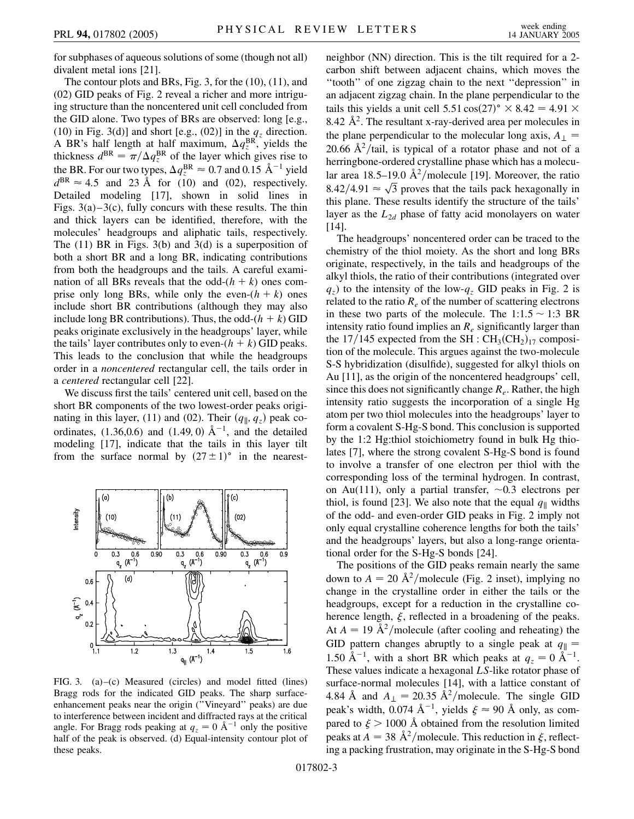for subphases of aqueous solutions of some (though not all) divalent metal ions [21].

The contour plots and BRs, Fig. 3, for the (10), (11), and (02) GID peaks of Fig. 2 reveal a richer and more intriguing structure than the noncentered unit cell concluded from the GID alone. Two types of BRs are observed: long [e.g., (10) in Fig. 3(d)] and short [e.g., (02)] in the  $q_z$  direction. A BR's half length at half maximum,  $\Delta q_z^{BR}$ , yields the thickness  $d^{BR} = \pi / \Delta q_z^{BR}$  of the layer which gives rise to the BR. For our two types,  $\Delta q_z^{\text{BR}} \approx 0.7$  and 0.15  $\text{\AA}^{-1}$  yield  $d^{BR} \approx 4.5$  and 23 Å for (10) and (02), respectively. Detailed modeling [17], shown in solid lines in Figs.  $3(a) - 3(c)$ , fully concurs with these results. The thin and thick layers can be identified, therefore, with the molecules' headgroups and aliphatic tails, respectively. The  $(11)$  BR in Figs. 3(b) and 3(d) is a superposition of both a short BR and a long BR, indicating contributions from both the headgroups and the tails. A careful examination of all BRs reveals that the odd- $(h + k)$  ones comprise only long BRs, while only the even- $(h + k)$  ones include short BR contributions (although they may also include long BR contributions). Thus, the odd- $(h + k)$  GID peaks originate exclusively in the headgroups' layer, while the tails' layer contributes only to even- $(h + k)$  GID peaks. This leads to the conclusion that while the headgroups order in a *noncentered* rectangular cell, the tails order in a *centered* rectangular cell [22].

We discuss first the tails' centered unit cell, based on the short BR components of the two lowest-order peaks originating in this layer, (11) and (02). Their  $(q_{\parallel}, q_z)$  peak coordinates,  $(1.36, 0.6)$  and  $(1.49, 0)$   $\AA^{-1}$ , and the detailed modeling [17], indicate that the tails in this layer tilt from the surface normal by  $(27 \pm 1)$ ° in the nearest-



FIG. 3. (a)–(c) Measured (circles) and model fitted (lines) Bragg rods for the indicated GID peaks. The sharp surfaceenhancement peaks near the origin (''Vineyard'' peaks) are due to interference between incident and diffracted rays at the critical angle. For Bragg rods peaking at  $q_z = 0 \text{ Å}^{-1}$  only the positive half of the peak is observed. (d) Equal-intensity contour plot of these peaks.

neighbor (NN) direction. This is the tilt required for a 2 carbon shift between adjacent chains, which moves the ''tooth'' of one zigzag chain to the next ''depression'' in an adjacent zigzag chain. In the plane perpendicular to the tails this yields a unit cell  $5.51 \cos(27)^\circ \times 8.42 = 4.91 \times$ 8.42  $\AA^2$ . The resultant x-ray-derived area per molecules in the plane perpendicular to the molecular long axis,  $A_{\perp}$  = 20.66  $A^2$ /tail, is typical of a rotator phase and not of a herringbone-ordered crystalline phase which has a molecular area 18.5–19.0  $\mathring{A}^2$ /molecule [19]. Moreover, the ratio ar area 18.5–19.0 A / molecule [19]. Moreover, the ratio 8.42/4.91  $\approx \sqrt{3}$  proves that the tails pack hexagonally in this plane. These results identify the structure of the tails' layer as the  $L_{2d}$  phase of fatty acid monolayers on water [14].

The headgroups' noncentered order can be traced to the chemistry of the thiol moiety. As the short and long BRs originate, respectively, in the tails and headgroups of the alkyl thiols, the ratio of their contributions (integrated over  $q_z$ ) to the intensity of the low- $q_z$  GID peaks in Fig. 2 is related to the ratio  $R_e$  of the number of scattering electrons in these two parts of the molecule. The  $1:1.5 \sim 1:3$  BR intensity ratio found implies an  $R_e$  significantly larger than the  $17/145$  expected from the SH :  $CH<sub>3</sub>(CH<sub>2</sub>)<sub>17</sub>$  composition of the molecule. This argues against the two-molecule S-S hybridization (disulfide), suggested for alkyl thiols on Au [11], as the origin of the noncentered headgroups' cell, since this does not significantly change *Re*. Rather, the high intensity ratio suggests the incorporation of a single Hg atom per two thiol molecules into the headgroups' layer to form a covalent S-Hg-S bond. This conclusion is supported by the 1:2 Hg:thiol stoichiometry found in bulk Hg thiolates [7], where the strong covalent S-Hg-S bond is found to involve a transfer of one electron per thiol with the corresponding loss of the terminal hydrogen. In contrast, on Au(111), only a partial transfer,  $\sim 0.3$  electrons per thiol, is found [23]. We also note that the equal  $q_{\parallel}$  widths of the odd- and even-order GID peaks in Fig. 2 imply not only equal crystalline coherence lengths for both the tails' and the headgroups' layers, but also a long-range orientational order for the S-Hg-S bonds [24].

The positions of the GID peaks remain nearly the same down to  $A = 20 \text{ Å}^2/\text{molecule}$  (Fig. 2 inset), implying no change in the crystalline order in either the tails or the headgroups, except for a reduction in the crystalline coherence length,  $\xi$ , reflected in a broadening of the peaks. At  $A = 19 \text{ Å}^2/\text{molecule}$  (after cooling and reheating) the GID pattern changes abruptly to a single peak at  $q_{\parallel}$  = 1.50 Å<sup>-1</sup>, with a short BR which peaks at  $q_z = 0$  Å<sup>-1</sup>. These values indicate a hexagonal *LS*-like rotator phase of surface-normal molecules [14], with a lattice constant of 4.84 Å and  $A_{\perp} = 20.35 \text{ Å}^2/\text{molecule}$ . The single GID peak's width,  $0.074 \text{ Å}^{-1}$ , yields  $\xi \approx 90 \text{ Å}$  only, as compared to  $\xi > 1000$  Å obtained from the resolution limited peaks at  $A = 38 \text{ Å}^2/\text{molecule}$ . This reduction in  $\xi$ , reflecting a packing frustration, may originate in the S-Hg-S bond